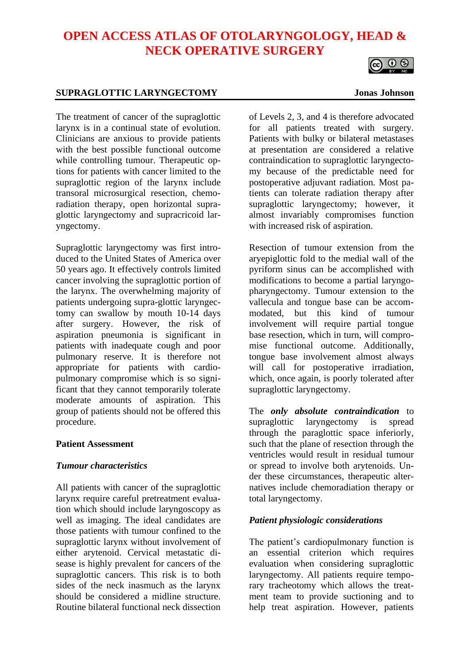# **OPEN ACCESS ATLAS OF OTOLARYNGOLOGY, HEAD & NECK OPERATIVE SURGERY**



# **SUPRAGLOTTIC LARYNGECTOMY Jonas Johnson**

The treatment of cancer of the supraglottic larynx is in a continual state of evolution. Clinicians are anxious to provide patients with the best possible functional outcome while controlling tumour. Therapeutic options for patients with cancer limited to the supraglottic region of the larynx include transoral microsurgical resection, chemoradiation therapy, open horizontal supraglottic laryngectomy and supracricoid laryngectomy.

Supraglottic laryngectomy was first introduced to the United States of America over 50 years ago. It effectively controls limited cancer involving the supraglottic portion of the larynx. The overwhelming majority of patients undergoing supra-glottic laryngectomy can swallow by mouth 10-14 days after surgery. However, the risk of aspiration pneumonia is significant in patients with inadequate cough and poor pulmonary reserve. It is therefore not appropriate for patients with cardiopulmonary compromise which is so significant that they cannot temporarily tolerate moderate amounts of aspiration. This group of patients should not be offered this procedure.

### **Patient Assessment**

### *Tumour characteristics*

All patients with cancer of the supraglottic larynx require careful pretreatment evaluation which should include laryngoscopy as well as imaging. The ideal candidates are those patients with tumour confined to the supraglottic larynx without involvement of either arytenoid. Cervical metastatic disease is highly prevalent for cancers of the supraglottic cancers. This risk is to both sides of the neck inasmuch as the larynx should be considered a midline structure. Routine bilateral functional neck dissection of Levels 2, 3, and 4 is therefore advocated for all patients treated with surgery. Patients with bulky or bilateral metastases at presentation are considered a relative contraindication to supraglottic laryngectomy because of the predictable need for postoperative adjuvant radiation. Most patients can tolerate radiation therapy after supraglottic laryngectomy; however, it almost invariably compromises function with increased risk of aspiration.

Resection of tumour extension from the aryepiglottic fold to the medial wall of the pyriform sinus can be accomplished with modifications to become a partial laryngopharyngectomy. Tumour extension to the vallecula and tongue base can be accommodated, but this kind of tumour involvement will require partial tongue base resection, which in turn, will compromise functional outcome. Additionally, tongue base involvement almost always will call for postoperative irradiation, which, once again, is poorly tolerated after supraglottic laryngectomy.

The *only absolute contraindication* to supraglottic laryngectomy is spread through the paraglottic space inferiorly, such that the plane of resection through the ventricles would result in residual tumour or spread to involve both arytenoids. Under these circumstances, therapeutic alternatives include chemoradiation therapy or total laryngectomy.

## *Patient physiologic considerations*

The patient's cardiopulmonary function is an essential criterion which requires evaluation when considering supraglottic laryngectomy. All patients require temporary tracheotomy which allows the treatment team to provide suctioning and to help treat aspiration. However, patients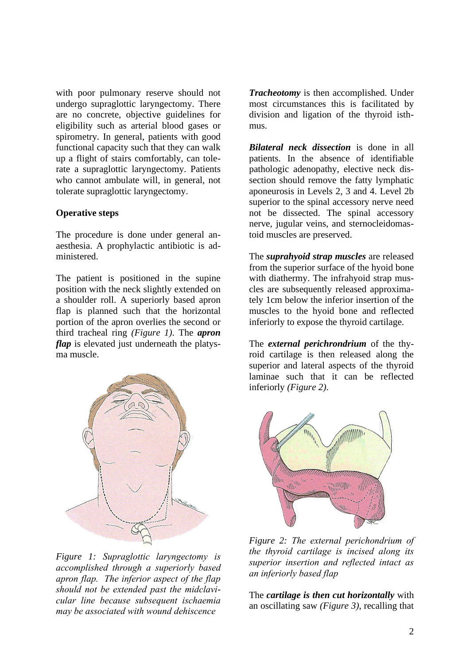with poor pulmonary reserve should not undergo supraglottic laryngectomy. There are no concrete, objective guidelines for eligibility such as arterial blood gases or spirometry. In general, patients with good functional capacity such that they can walk up a flight of stairs comfortably, can tolerate a supraglottic laryngectomy. Patients who cannot ambulate will, in general, not tolerate supraglottic laryngectomy.

### **Operative steps**

The procedure is done under general anaesthesia. A prophylactic antibiotic is administered.

The patient is positioned in the supine position with the neck slightly extended on a shoulder roll. A superiorly based apron flap is planned such that the horizontal portion of the apron overlies the second or third tracheal ring *(Figure 1)*. The *apron flap* is elevated just underneath the platysma muscle.



*Figure 1: Supraglottic laryngectomy is accomplished through a superiorly based apron flap. The inferior aspect of the flap should not be extended past the midclavicular line because subsequent ischaemia may be associated with wound dehiscence* 

*Tracheotomy* is then accomplished. Under most circumstances this is facilitated by division and ligation of the thyroid isthmus.

*Bilateral neck dissection* is done in all patients. In the absence of identifiable pathologic adenopathy, elective neck dissection should remove the fatty lymphatic aponeurosis in Levels 2, 3 and 4. Level 2b superior to the spinal accessory nerve need not be dissected. The spinal accessory nerve, jugular veins, and sternocleidomastoid muscles are preserved.

The *suprahyoid strap muscles* are released from the superior surface of the hyoid bone with diathermy. The infrahyoid strap muscles are subsequently released approximately 1cm below the inferior insertion of the muscles to the hyoid bone and reflected inferiorly to expose the thyroid cartilage.

The *external perichrondrium* of the thyroid cartilage is then released along the superior and lateral aspects of the thyroid laminae such that it can be reflected inferiorly *(Figure 2)*.



*Figure 2: The external perichondrium of the thyroid cartilage is incised along its superior insertion and reflected intact as an inferiorly based flap*

The *cartilage is then cut horizontally* with an oscillating saw *(Figure 3)*, recalling that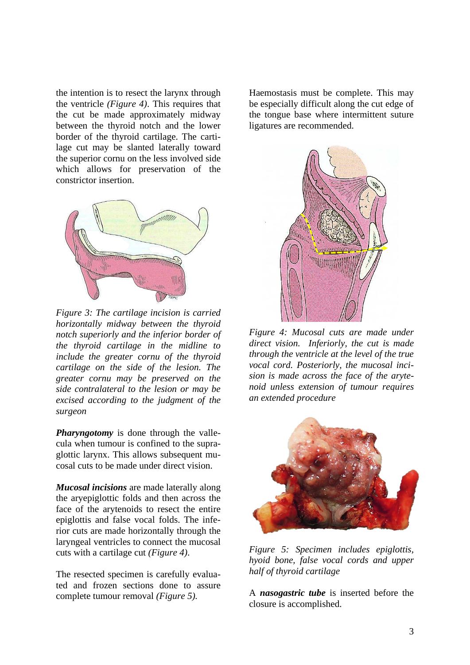the intention is to resect the larynx through the ventricle *(Figure 4)*. This requires that the cut be made approximately midway between the thyroid notch and the lower border of the thyroid cartilage. The cartilage cut may be slanted laterally toward the superior cornu on the less involved side which allows for preservation of the constrictor insertion.



*Figure 3: The cartilage incision is carried horizontally midway between the thyroid notch superiorly and the inferior border of the thyroid cartilage in the midline to include the greater cornu of the thyroid cartilage on the side of the lesion. The greater cornu may be preserved on the side contralateral to the lesion or may be excised according to the judgment of the surgeon*

*Pharyngotomy* is done through the vallecula when tumour is confined to the supraglottic larynx. This allows subsequent mucosal cuts to be made under direct vision.

*Mucosal incisions* are made laterally along the aryepiglottic folds and then across the face of the arytenoids to resect the entire epiglottis and false vocal folds. The inferior cuts are made horizontally through the laryngeal ventricles to connect the mucosal cuts with a cartilage cut *(Figure 4)*.

The resected specimen is carefully evaluated and frozen sections done to assure complete tumour removal *(Figure 5).*

Haemostasis must be complete. This may be especially difficult along the cut edge of the tongue base where intermittent suture ligatures are recommended.



*Figure 4: Mucosal cuts are made under direct vision. Inferiorly, the cut is made through the ventricle at the level of the true vocal cord. Posteriorly, the mucosal incision is made across the face of the arytenoid unless extension of tumour requires an extended procedure*



*Figure 5: Specimen includes epiglottis, hyoid bone, false vocal cords and upper half of thyroid cartilage*

A *nasogastric tube* is inserted before the closure is accomplished.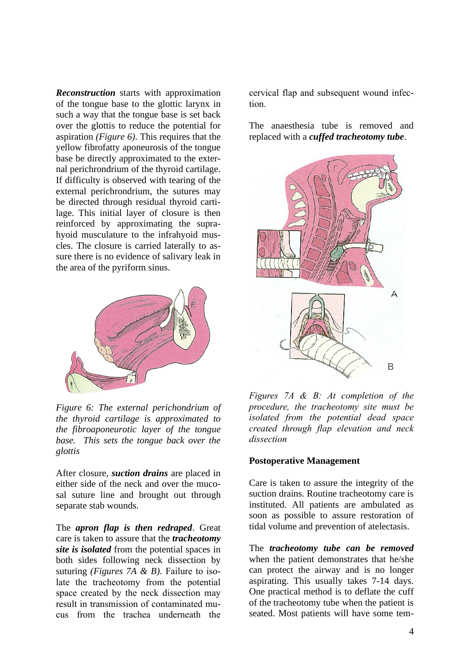*Reconstruction* starts with approximation of the tongue base to the glottic larynx in such a way that the tongue base is set back over the glottis to reduce the potential for aspiration *(Figure 6)*. This requires that the yellow fibrofatty aponeurosis of the tongue base be directly approximated to the external perichrondrium of the thyroid cartilage. If difficulty is observed with tearing of the external perichrondrium, the sutures may be directed through residual thyroid cartilage. This initial layer of closure is then reinforced by approximating the suprahyoid musculature to the infrahyoid muscles. The closure is carried laterally to assure there is no evidence of salivary leak in the area of the pyriform sinus.



*Figure 6: The external perichondrium of the thyroid cartilage is approximated to the fibroaponeurotic layer of the tongue base. This sets the tongue back over the glottis*

After closure, *suction drains* are placed in either side of the neck and over the mucosal suture line and brought out through separate stab wounds.

The *apron flap is then redraped*. Great care is taken to assure that the *tracheotomy site is isolated* from the potential spaces in both sides following neck dissection by suturing *(Figures 7A & B)*. Failure to isolate the tracheotomy from the potential space created by the neck dissection may result in transmission of contaminated mucus from the trachea underneath the

cervical flap and subsequent wound infection.

The anaesthesia tube is removed and replaced with a *cuffed tracheotomy tube*.



*Figures 7A & B: At completion of the procedure, the tracheotomy site must be isolated from the potential dead space created through flap elevation and neck dissection*

#### **Postoperative Management**

Care is taken to assure the integrity of the suction drains. Routine tracheotomy care is instituted. All patients are ambulated as soon as possible to assure restoration of tidal volume and prevention of atelectasis.

The *tracheotomy tube can be removed* when the patient demonstrates that he/she can protect the airway and is no longer aspirating. This usually takes 7-14 days. One practical method is to deflate the cuff of the tracheotomy tube when the patient is seated. Most patients will have some tem